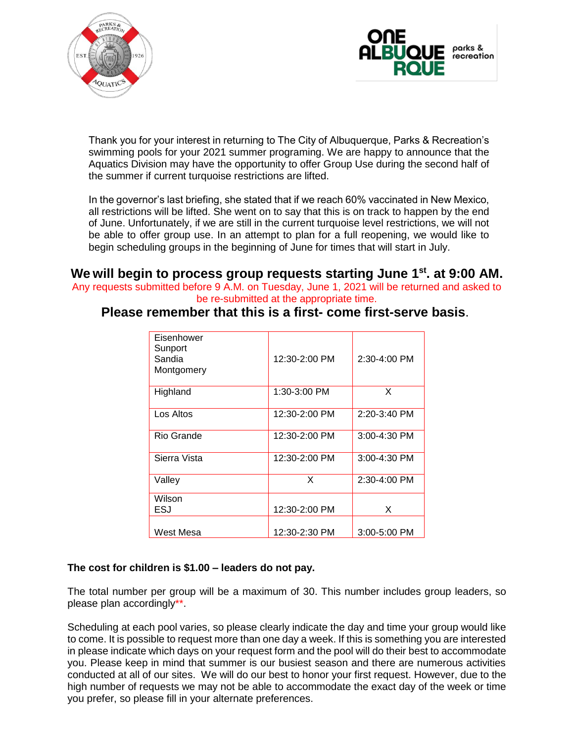



Thank you for your interest in returning to The City of Albuquerque, Parks & Recreation's swimming pools for your 2021 summer programing. We are happy to announce that the Aquatics Division may have the opportunity to offer Group Use during the second half of the summer if current turquoise restrictions are lifted.

In the governor's last briefing, she stated that if we reach 60% vaccinated in New Mexico, all restrictions will be lifted. She went on to say that this is on track to happen by the end of June. Unfortunately, if we are still in the current turquoise level restrictions, we will not be able to offer group use. In an attempt to plan for a full reopening, we would like to begin scheduling groups in the beginning of June for times that will start in July.

**We will begin to process group requests starting June 1st . at 9:00 AM.**  Any requests submitted before 9 A.M. on Tuesday, June 1, 2021 will be returned and asked to be re-submitted at the appropriate time.

## **Please remember that this is a first- come first-serve basis**.

| Eisenhower<br>Sunport<br>Sandia<br>Montgomery | 12:30-2:00 PM | 2:30-4:00 PM |
|-----------------------------------------------|---------------|--------------|
| Highland                                      | 1:30-3:00 PM  | X            |
| Los Altos                                     | 12:30-2:00 PM | 2:20-3:40 PM |
| Rio Grande                                    | 12:30-2:00 PM | 3:00-4:30 PM |
| Sierra Vista                                  | 12:30-2:00 PM | 3:00-4:30 PM |
| Valley                                        | X             | 2:30-4:00 PM |
| Wilson<br>ESJ                                 | 12:30-2:00 PM | X            |
| West Mesa                                     | 12:30-2:30 PM | 3:00-5:00 PM |

## **The cost for children is \$1.00 – leaders do not pay.**

The total number per group will be a maximum of 30. This number includes group leaders, so please plan accordingly\*\*.

Scheduling at each pool varies, so please clearly indicate the day and time your group would like to come. It is possible to request more than one day a week. If this is something you are interested in please indicate which days on your request form and the pool will do their best to accommodate you. Please keep in mind that summer is our busiest season and there are numerous activities conducted at all of our sites. We will do our best to honor your first request. However, due to the high number of requests we may not be able to accommodate the exact day of the week or time you prefer, so please fill in your alternate preferences.